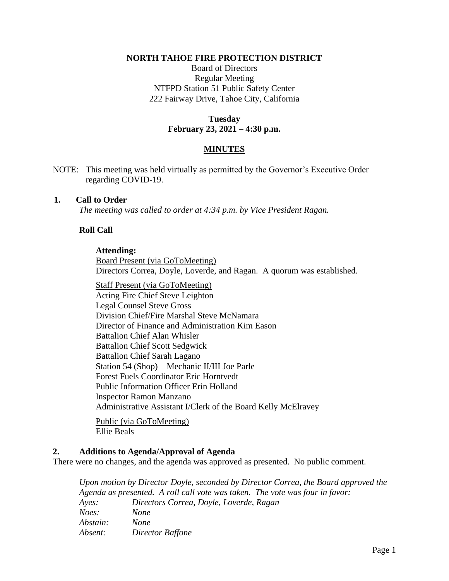### **NORTH TAHOE FIRE PROTECTION DISTRICT**

Board of Directors Regular Meeting NTFPD Station 51 Public Safety Center 222 Fairway Drive, Tahoe City, California

# **Tuesday February 23, 2021 – 4:30 p.m.**

## **MINUTES**

NOTE: This meeting was held virtually as permitted by the Governor's Executive Order regarding COVID-19.

### **1. Call to Order**

*The meeting was called to order at 4:34 p.m. by Vice President Ragan.*

# **Roll Call**

### **Attending:**

Board Present (via GoToMeeting) Directors Correa, Doyle, Loverde, and Ragan. A quorum was established.

Staff Present (via GoToMeeting) Acting Fire Chief Steve Leighton Legal Counsel Steve Gross Division Chief/Fire Marshal Steve McNamara Director of Finance and Administration Kim Eason Battalion Chief Alan Whisler Battalion Chief Scott Sedgwick Battalion Chief Sarah Lagano Station 54 (Shop) – Mechanic II/III Joe Parle Forest Fuels Coordinator Eric Horntvedt Public Information Officer Erin Holland Inspector Ramon Manzano Administrative Assistant I/Clerk of the Board Kelly McElravey

Public (via GoToMeeting) Ellie Beals

## **2. Additions to Agenda/Approval of Agenda**

There were no changes, and the agenda was approved as presented. No public comment.

*Upon motion by Director Doyle, seconded by Director Correa, the Board approved the Agenda as presented. A roll call vote was taken. The vote was four in favor: Ayes: Directors Correa, Doyle, Loverde, Ragan Noes: None Abstain: None Absent: Director Baffone*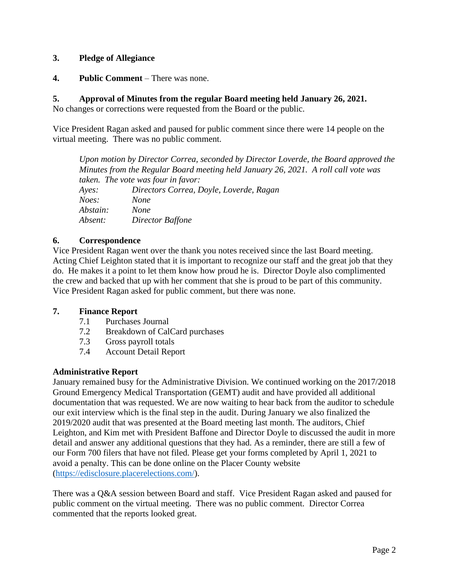# **3. Pledge of Allegiance**

**4. Public Comment** – There was none.

# **5. Approval of Minutes from the regular Board meeting held January 26, 2021.**

No changes or corrections were requested from the Board or the public.

Vice President Ragan asked and paused for public comment since there were 14 people on the virtual meeting. There was no public comment.

*Upon motion by Director Correa, seconded by Director Loverde, the Board approved the Minutes from the Regular Board meeting held January 26, 2021. A roll call vote was taken. The vote was four in favor: Ayes: Directors Correa, Doyle, Loverde, Ragan Noes: None Abstain: None Absent: Director Baffone*

# **6. Correspondence**

Vice President Ragan went over the thank you notes received since the last Board meeting. Acting Chief Leighton stated that it is important to recognize our staff and the great job that they do. He makes it a point to let them know how proud he is. Director Doyle also complimented the crew and backed that up with her comment that she is proud to be part of this community. Vice President Ragan asked for public comment, but there was none.

## **7. Finance Report**

- 7.1 Purchases Journal
- 7.2 Breakdown of CalCard purchases
- 7.3 Gross payroll totals
- 7.4 Account Detail Report

## **Administrative Report**

January remained busy for the Administrative Division. We continued working on the 2017/2018 Ground Emergency Medical Transportation (GEMT) audit and have provided all additional documentation that was requested. We are now waiting to hear back from the auditor to schedule our exit interview which is the final step in the audit. During January we also finalized the 2019/2020 audit that was presented at the Board meeting last month. The auditors, Chief Leighton, and Kim met with President Baffone and Director Doyle to discussed the audit in more detail and answer any additional questions that they had. As a reminder, there are still a few of our Form 700 filers that have not filed. Please get your forms completed by April 1, 2021 to avoid a penalty. This can be done online on the Placer County website [\(https://edisclosure.placerelections.com/\)](https://edisclosure.placerelections.com/).

There was a Q&A session between Board and staff. Vice President Ragan asked and paused for public comment on the virtual meeting. There was no public comment. Director Correa commented that the reports looked great.